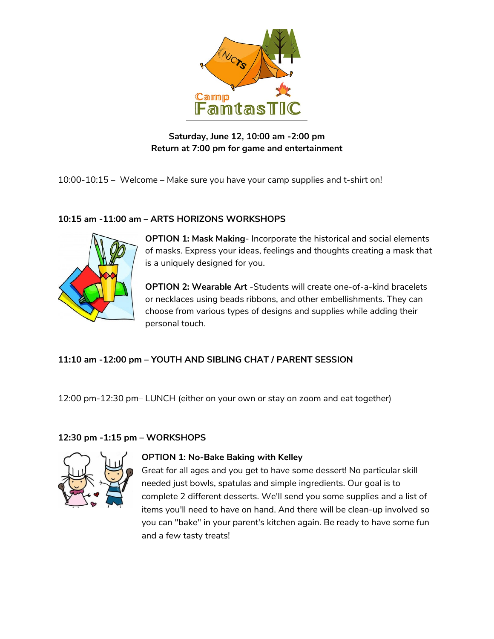

# **Saturday, June 12, 10:00 am -2:00 pm Return at 7:00 pm for game and entertainment**

10:00-10:15 – Welcome – Make sure you have your camp supplies and t-shirt on!

## **10:15 am -11:00 am – ARTS HORIZONS WORKSHOPS**



**OPTION 1: Mask Making**- Incorporate the historical and social elements of masks. Express your ideas, feelings and thoughts creating a mask that is a uniquely designed for you.

**OPTION 2: Wearable Art** -Students will create one-of-a-kind bracelets or necklaces using beads ribbons, and other embellishments. They can choose from various types of designs and supplies while adding their personal touch.

# **11:10 am -12:00 pm – YOUTH AND SIBLING CHAT / PARENT SESSION**

12:00 pm-12:30 pm– LUNCH (either on your own or stay on zoom and eat together)

# **12:30 pm -1:15 pm – WORKSHOPS**



## **OPTION 1: No-Bake Baking with Kelley**

Great for all ages and you get to have some dessert! No particular skill needed just bowls, spatulas and simple ingredients. Our goal is to complete 2 different desserts. We'll send you some supplies and a list of items you'll need to have on hand. And there will be clean-up involved so you can "bake" in your parent's kitchen again. Be ready to have some fun and a few tasty treats!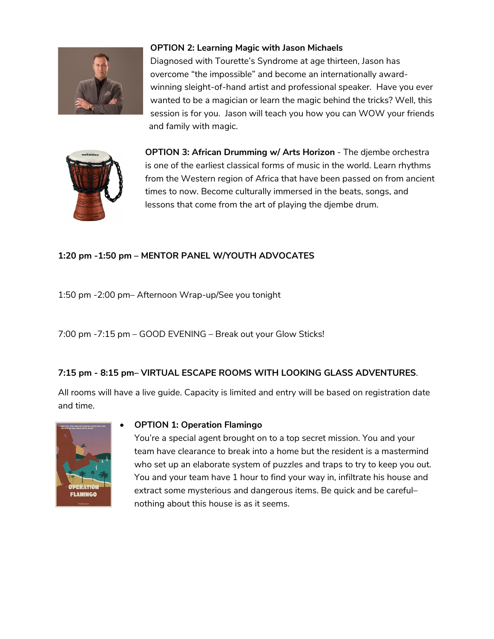

## **OPTION 2: Learning Magic with Jason Michaels**

Diagnosed with Tourette's Syndrome at age thirteen, Jason has overcome "the impossible" and become an internationally awardwinning sleight-of-hand artist and professional speaker. Have you ever wanted to be a magician or learn the magic behind the tricks? Well, this session is for you. Jason will teach you how you can WOW your friends and family with magic.



**OPTION 3: African Drumming w/ Arts Horizon** - The djembe orchestra is one of the earliest classical forms of music in the world. Learn rhythms from the Western region of Africa that have been passed on from ancient times to now. Become culturally immersed in the beats, songs, and lessons that come from the art of playing the djembe drum.

# **1:20 pm -1:50 pm – MENTOR PANEL W/YOUTH ADVOCATES**

1:50 pm -2:00 pm– Afternoon Wrap-up/See you tonight

7:00 pm -7:15 pm – GOOD EVENING – Break out your Glow Sticks!

## **7:15 pm - 8:15 pm– VIRTUAL ESCAPE ROOMS WITH LOOKING GLASS ADVENTURES**.

All rooms will have a live guide. Capacity is limited and entry will be based on registration date and time.



#### • **OPTION 1: Operation Flamingo**

You're a special agent brought on to a top secret mission. You and your team have clearance to break into a home but the resident is a mastermind who set up an elaborate system of puzzles and traps to try to keep you out. You and your team have 1 hour to find your way in, infiltrate his house and extract some mysterious and dangerous items. Be quick and be careful– nothing about this house is as it seems.